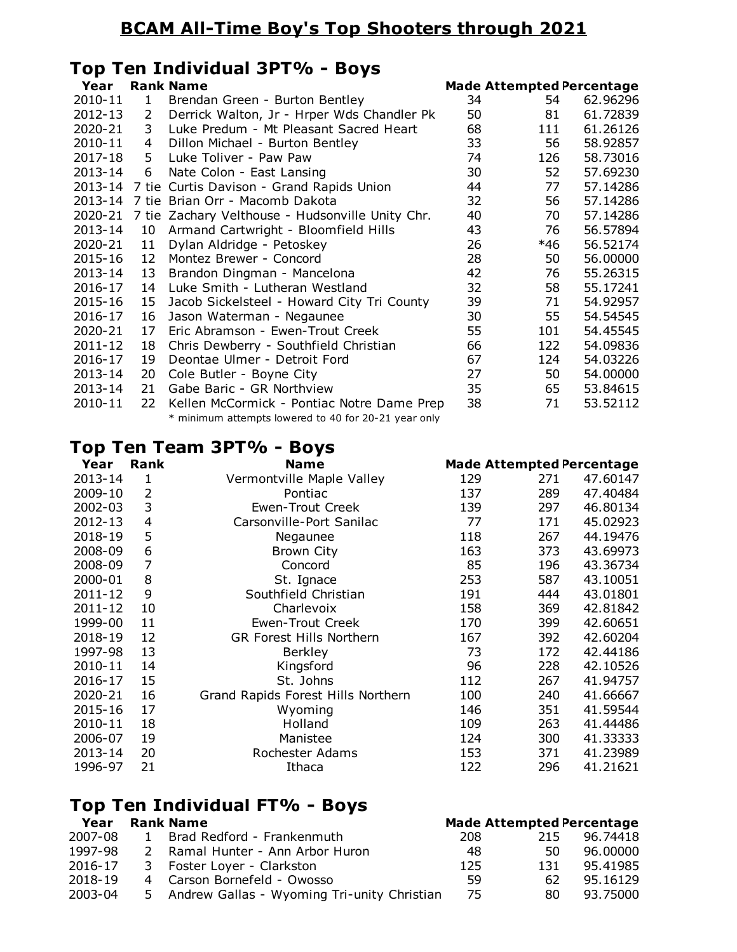### **BCAM All-Time Boy's Top Shooters through 2021**

## **Top Ten Individual 3PT% - Boys**

| Year    |    | <b>Rank Name</b>                                     |    | <b>Made Attempted Percentage</b> |  |
|---------|----|------------------------------------------------------|----|----------------------------------|--|
| 2010-11 | 1  | Brendan Green - Burton Bentley                       | 34 | 62.96296<br>54                   |  |
| 2012-13 | 2  | Derrick Walton, Jr - Hrper Wds Chandler Pk           | 50 | 81<br>61.72839                   |  |
| 2020-21 | 3  | Luke Predum - Mt Pleasant Sacred Heart               | 68 | 61.26126<br>111                  |  |
| 2010-11 | 4  | Dillon Michael - Burton Bentley                      | 33 | 56<br>58.92857                   |  |
| 2017-18 | 5. | Luke Toliver - Paw Paw                               | 74 | 58.73016<br>126                  |  |
| 2013-14 | 6  | Nate Colon - East Lansing                            | 30 | 52<br>57.69230                   |  |
| 2013-14 |    | 7 tie Curtis Davison - Grand Rapids Union            | 44 | 57.14286<br>77                   |  |
| 2013-14 |    | 7 tie Brian Orr - Macomb Dakota                      | 32 | 56<br>57.14286                   |  |
| 2020-21 |    | 7 tie Zachary Velthouse - Hudsonville Unity Chr.     | 40 | 57.14286<br>70                   |  |
| 2013-14 | 10 | Armand Cartwright - Bloomfield Hills                 | 43 | 76<br>56.57894                   |  |
| 2020-21 | 11 | Dylan Aldridge - Petoskey                            | 26 | 56.52174<br>*46                  |  |
| 2015-16 | 12 | Montez Brewer - Concord                              | 28 | 56.00000<br>50                   |  |
| 2013-14 | 13 | Brandon Dingman - Mancelona                          | 42 | 55.26315<br>76                   |  |
| 2016-17 | 14 | Luke Smith - Lutheran Westland                       | 32 | 55.17241<br>58                   |  |
| 2015-16 | 15 | Jacob Sickelsteel - Howard City Tri County           | 39 | 71<br>54.92957                   |  |
| 2016-17 | 16 | Jason Waterman - Negaunee                            | 30 | 55<br>54.54545                   |  |
| 2020-21 | 17 | Eric Abramson - Ewen-Trout Creek                     | 55 | 101<br>54.45545                  |  |
| 2011-12 | 18 | Chris Dewberry - Southfield Christian                | 66 | 122<br>54.09836                  |  |
| 2016-17 | 19 | Deontae Ulmer - Detroit Ford                         | 67 | 54.03226<br>124                  |  |
| 2013-14 | 20 | Cole Butler - Boyne City                             | 27 | 54.00000<br>50                   |  |
| 2013-14 | 21 | Gabe Baric - GR Northview                            | 35 | 53.84615<br>65                   |  |
| 2010-11 | 22 | Kellen McCormick - Pontiac Notre Dame Prep           | 38 | 53.52112<br>71                   |  |
|         |    | * minimum attempts lowered to 40 for 20-21 year only |    |                                  |  |

#### **Top Ten Team 3PT% - Boys**

| Year    | Rank | <b>Name</b>                        | <b>Made Attempted Percentage</b> |     |          |
|---------|------|------------------------------------|----------------------------------|-----|----------|
| 2013-14 | 1    | Vermontville Maple Valley          | 129                              | 271 | 47.60147 |
| 2009-10 | 2    | Pontiac                            | 137                              | 289 | 47.40484 |
| 2002-03 | 3    | <b>Ewen-Trout Creek</b>            | 139                              | 297 | 46.80134 |
| 2012-13 | 4    | Carsonville-Port Sanilac           | 77                               | 171 | 45.02923 |
| 2018-19 | 5    | Negaunee                           | 118                              | 267 | 44.19476 |
| 2008-09 | 6    | <b>Brown City</b>                  | 163                              | 373 | 43.69973 |
| 2008-09 | 7    | Concord                            | 85                               | 196 | 43.36734 |
| 2000-01 | 8    | St. Ignace                         | 253                              | 587 | 43.10051 |
| 2011-12 | 9    | Southfield Christian               | 191                              | 444 | 43.01801 |
| 2011-12 | 10   | Charlevoix                         | 158                              | 369 | 42.81842 |
| 1999-00 | 11   | <b>Ewen-Trout Creek</b>            | 170                              | 399 | 42.60651 |
| 2018-19 | 12   | <b>GR Forest Hills Northern</b>    | 167                              | 392 | 42.60204 |
| 1997-98 | 13   | <b>Berkley</b>                     | 73                               | 172 | 42.44186 |
| 2010-11 | 14   | Kingsford                          | 96                               | 228 | 42.10526 |
| 2016-17 | 15   | St. Johns                          | 112                              | 267 | 41.94757 |
| 2020-21 | 16   | Grand Rapids Forest Hills Northern | 100                              | 240 | 41.66667 |
| 2015-16 | 17   | Wyoming                            | 146                              | 351 | 41.59544 |
| 2010-11 | 18   | Holland                            | 109                              | 263 | 41.44486 |
| 2006-07 | 19   | Manistee                           | 124                              | 300 | 41.33333 |
| 2013-14 | 20   | Rochester Adams                    | 153                              | 371 | 41.23989 |
| 1996-97 | 21   | Ithaca                             | 122                              | 296 | 41.21621 |

#### **Top Ten Individual FT% - Boys**

| Year    |              | <b>Rank Name</b>                              |     |     | <b>Made Attempted Percentage</b> |
|---------|--------------|-----------------------------------------------|-----|-----|----------------------------------|
| 2007-08 | $\mathbf{1}$ | Brad Redford - Frankenmuth                    | 208 | 215 | 96.74418                         |
| 1997-98 |              | 2 Ramal Hunter - Ann Arbor Huron              | 48  | 50. | 96.00000                         |
| 2016-17 |              | 3 Foster Loyer - Clarkston                    | 125 | 131 | 95.41985                         |
| 2018-19 |              | 4 Carson Bornefeld - Owosso                   | 59. | 62. | 95.16129                         |
| 2003-04 |              | 5 Andrew Gallas - Wyoming Tri-unity Christian | -75 | 80  | 93.75000                         |